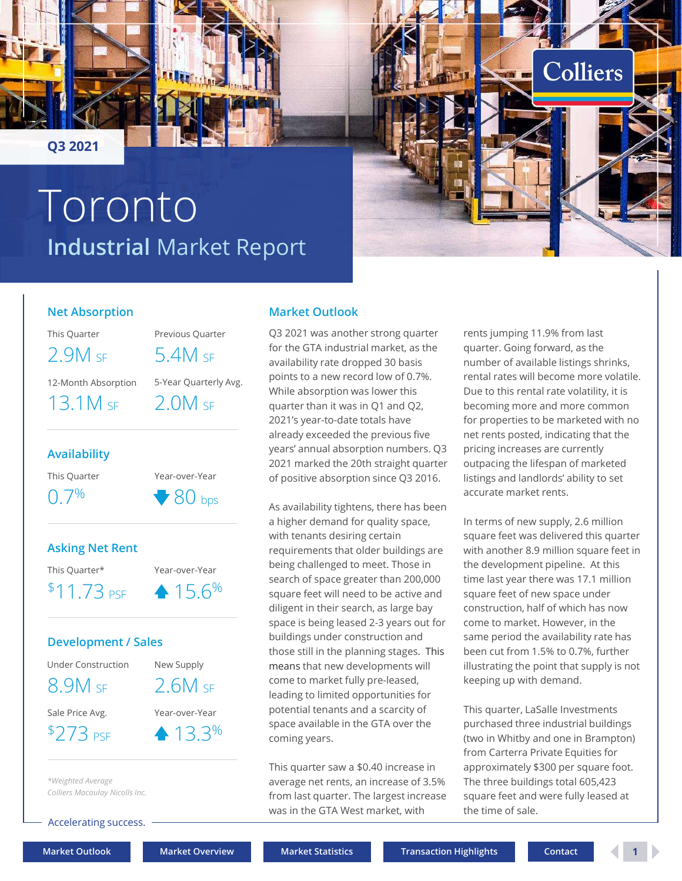

# Industrial Market Report Toronto



### Net Absorption

12-Month Absorption 5-Year Quarterly Avg.

## Availability

 $0.7\%$   $80 \text{ hos}$ 

Asking Net Rent

This Quarter\* Year-over-Year  $$11.73 \text{ p}$   $\uparrow 15.6\%$ 

### Development / Sales

 $$273 \text{ ps}$   $\triangle 13.3\%$  com

\*Weighted Average Colliers Macaulay Nicolls Inc.

Accelerating success.

**Industrial Market Report**<br>
Net Absorption<br>
This Quarter Previous Quarter Q3 2021 was another strong quarter ents jumpine<br>
2.9 M <sub>SF</sub> 5.4 M <sub>SF</sub> for the GTA industrial market, as the quarter, Gior<br>
12.Month Absorption S-Ve Q3 2021 was another strong quarter for the GTA industrial market, as the  $2.9M$  SF  $5.4M$  SF  $\frac{1}{2}$  availability rate dropped 30 basis and number of a number of a strict set of  $\frac{1}{2}$ points to a new record low of 0.7%. While absorption was lower this 13.1M SF 2.0M SF quarter than it was in Q1 and Q2, becoming m 2021's year-to-date totals have already exceeded the previous five years' annual absorption numbers. Q3 2021 marked the 20th straight quarter of positive absorption since Q3 2016.

Market Outlook

Under Construction New Supply means that new developments will Availability<br>  $\frac{1}{2}$  already exceeded the previous five<br>  $2021$  marked the 20th straight quarter ortpacing the<br>  $0.7\%$ <br>  $2021$  marked the 20th straight quarter ortpacing the<br>  $0.7\%$ <br>  $80$  bps<br>  $\star$  savailability tigh As availability tightens, there has been a higher demand for quality space, with tenants desiring certain requirements that older buildings are being challenged to meet. Those in search of space greater than 200,000  $11.73$  PSF  $\bullet$   $15.6\%$  square feet will need to be active and square feet of n diligent in their search, as large bay space is being leased 2-3 years out for buildings under construction and those still in the planning stages. This  $8.9M$  SF  $2.6M$  SF come to market fully pre-leased, keeping up leading to limited opportunities for potential tenants and a scarcity of space available in the GTA over the coming years.

This quarter saw a \$0.40 increase in average net rents, an increase of 3.5% from last quarter. The largest increase was in the GTA West market, with

rents jumping 11.9% from last quarter. Going forward, as the number of available listings shrinks, rental rates will become more volatile. Due to this rental rate volatility, it is becoming more and more common for properties to be marketed with no net rents posted, indicating that the pricing increases are currently outpacing the lifespan of marketed listings and landlords' ability to set accurate market rents.

In terms of new supply, 2.6 million square feet was delivered this quarter with another 8.9 million square feet in the development pipeline. At this time last year there was 17.1 million square feet of new space under construction, half of which has now come to market. However, in the same period the availability rate has been cut from 1.5% to 0.7%, further illustrating the point that supply is not keeping up with demand. listings and landlords' ability to set<br>accurate market rents.<br>In terms of new supply, 2.6 million<br>square feet was delivered this quarter<br>with another 8.9 million square feet in<br>the development pipeline. At this<br>time last y

This quarter, LaSalle Investments purchased three industrial buildings (two in Whitby and one in Brampton) approximately \$300 per square foot. The three buildings total 605,423 square feet and were fully leased at the time of sale.

Market Outlook Market Overview Market Statistics Transaction Highlights Contact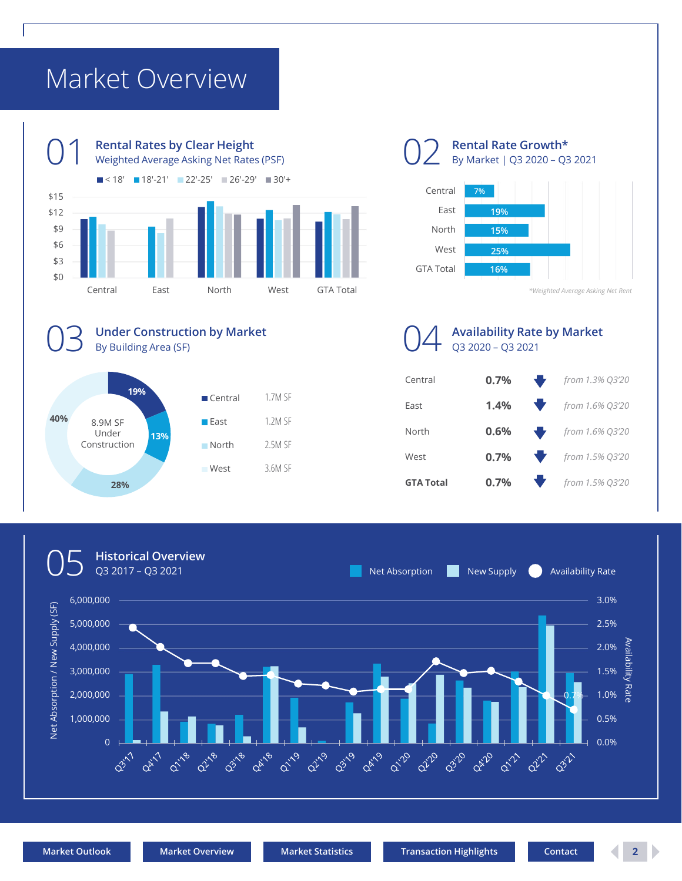# Market Overview





GTA Total 16%

Rental Rate Growth\*

\*Weighted Average Asking Net Rent

16% and the contract of the contract of the contract of the contract of the contract of the contract of the co



 $19\%$   $6\%$   $17\%$   $5\%$ 13% and the contract of the contract of the contract of the contract of the contract of the contract of the contract of the contract of the contract of the contract of the contract of the contract of the contract of the co 28% SIA LOTAL CONTROL CONTROL CONTROL CONTROL CONTROL CONTROL CONTROL CONTROL CONTROL CONTROL CONTROL CONTROL CONTROL CONTROL CONTROL CONTROL CONTROL CONTROL CONTROL CONTROL CONTROL CONTROL CONTROL CONTROL CONTROL CONTROL  $40\%$   $80MSE$   $585$   $12MSE$ Central East 1.2M SF North 2.5M SF West 3.6M SF 8.9M SF Under 13% Construction North 1.7M SF

Under Construction by Market

By Building Area (SF)

# Availability Rate by Market



# Q3 2017 – Q3 2021 **OS** Historical Overview<br>
2017 - Q3 2021<br>
2017 - Q3 2021 Net Absorption New Supply Availability Rate  $\frac{6}{5}$  6,000,000<br>  $\frac{2}{5}$  5,000,000<br>  $\frac{2}{5}$  3,000,000<br>  $\frac{2}{5}$  3,000,000<br>  $\frac{2}{5}$  3,000,000<br>  $\frac{2}{5}$  3,000,000<br>  $\frac{2}{5}$  3,000,000<br>  $\frac{2}{5}$  3,000,000<br>  $\frac{2}{5}$  3,000,000<br>  $\frac{2}{5}$   $\frac{2.5\%}{5}$ <br>  $\frac{2.5$ 3.0% 5,000,000 2.5% 4,000,000 2.0% 3,000,000 1.5%  $\equiv$  1.5%  $\equiv$  1.5%  $\equiv$  1.5%  $\equiv$  1.5%  $\equiv$  1.5%  $\equiv$  1.5%  $\equiv$  1.5%  $\equiv$  1.5%  $\equiv$  1.5%  $\equiv$  1.5%  $\equiv$  1.5%  $\equiv$  1.5%  $\equiv$  1.5%  $\equiv$  1.5%  $\equiv$  1.5%  $\equiv$  1.5%  $\equiv$  1.5%  $\equiv$  1.5%  $\equiv$  1.5%  $\equiv$  1.5%  $\equiv$  1.5%  $\equiv$  1 2,000,000  $1.0\%$   $\frac{1}{5}$   $\frac{1}{5}$   $\frac{1}{5}$ 0.7% 1.0%  $\frac{11}{10}$ 1,000,000 0.5%  $\begin{picture}(180,10) \put(0,0){\line(1,0){100}} \put(10,0){\line(1,0){100}} \put(10,0){\line(1,0){100}} \put(10,0){\line(1,0){100}} \put(10,0){\line(1,0){100}} \put(10,0){\line(1,0){100}} \put(10,0){\line(1,0){100}} \put(10,0){\line(1,0){100}} \put(10,0){\line(1,0){100}} \put(10,0){\line(1,0){100}} \put(10,0){\line(1,0){100}}$ 0.0%  $\overline{G^2}$ **Oct 1991** 02120 02120 **ORIVO**  $\alpha^2$ 03-10  $Q^2$  $Q^3$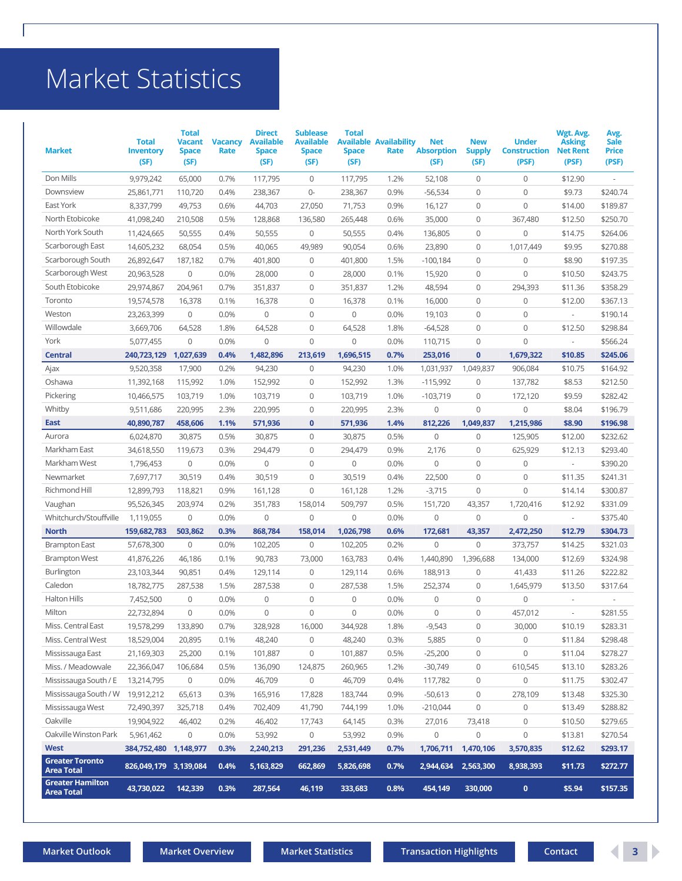# Market Statistics

|                                             |                                          | <b>Market Statistics</b>                              |                        |                                                           |                                                             |                                      |                                       |                                         |                                     |                                              |                                                        |                                              |
|---------------------------------------------|------------------------------------------|-------------------------------------------------------|------------------------|-----------------------------------------------------------|-------------------------------------------------------------|--------------------------------------|---------------------------------------|-----------------------------------------|-------------------------------------|----------------------------------------------|--------------------------------------------------------|----------------------------------------------|
| <b>Market</b>                               | <b>Total</b><br><b>Inventory</b><br>(SF) | <b>Total</b><br><b>Vacant</b><br><b>Space</b><br>(SF) | <b>Vacancy</b><br>Rate | <b>Direct</b><br><b>Available</b><br><b>Space</b><br>(SF) | <b>Sublease</b><br><b>Available</b><br><b>Space</b><br>(SF) | <b>Total</b><br><b>Space</b><br>(SF) | <b>Available Availability</b><br>Rate | <b>Net</b><br><b>Absorption</b><br>(SF) | <b>New</b><br><b>Supply</b><br>(SF) | <b>Under</b><br><b>Construction</b><br>(PSF) | Wgt. Avg.<br><b>Asking</b><br><b>Net Rent</b><br>(PSF) | Avg.<br><b>Sale</b><br><b>Price</b><br>(PSF) |
|                                             |                                          |                                                       |                        |                                                           |                                                             |                                      |                                       |                                         |                                     |                                              |                                                        |                                              |
| Don Mills<br>Downsview                      | 9,979,242                                | 65,000                                                | 0.7%<br>0.4%           | 117,795                                                   | $\overline{0}$<br>$0-$                                      | 117,795                              | 1.2%                                  | 52,108                                  | $\overline{0}$<br>$\mathbf 0$       | $\mathbf 0$<br>$\overline{0}$                | \$12.90                                                | $\sim$<br>\$240.74                           |
| East York                                   | 25,861,771<br>8,337,799                  | 110,720<br>49,753                                     | 0.6%                   | 238,367<br>44,703                                         | 27,050                                                      | 238,367<br>71,753                    | 0.9%<br>0.9%                          | $-56,534$<br>16,127                     | $\overline{0}$                      | $\mathbf 0$                                  | \$9.73<br>\$14.00                                      | \$189.87                                     |
| North Etobicoke                             | 41,098,240                               | 210,508                                               | 0.5%                   | 128,868                                                   | 136,580                                                     | 265,448                              | 0.6%                                  | 35,000                                  | $\overline{0}$                      | 367,480                                      | \$12.50                                                | \$250.70                                     |
| North York South                            | 11,424,665                               | 50,555                                                | 0.4%                   | 50,555                                                    | $\mathbf 0$                                                 | 50,555                               | 0.4%                                  | 136,805                                 | $\overline{0}$                      | $\mathbf 0$                                  | \$14.75                                                | \$264.06                                     |
| Scarborough East                            | 14,605,232                               | 68,054                                                | 0.5%                   | 40,065                                                    | 49,989                                                      | 90,054                               | 0.6%                                  | 23,890                                  | $\mathbf 0$                         | 1,017,449                                    | \$9.95                                                 | \$270.88                                     |
| Scarborough South                           | 26,892,647                               | 187,182                                               | 0.7%                   | 401,800                                                   | $\mathbf 0$                                                 | 401,800                              | 1.5%                                  | $-100,184$                              | $\mathbf 0$                         | $\mathbf 0$                                  | \$8.90                                                 | \$197.35                                     |
| Scarborough West                            | 20,963,528                               | 0                                                     | 0.0%                   | 28,000                                                    | $\mathbf 0$                                                 | 28,000                               | 0.1%                                  | 15,920                                  | $\overline{0}$                      | $\mathbf 0$                                  | \$10.50                                                | \$243.75                                     |
| South Etobicoke                             | 29,974,867                               | 204,961                                               | 0.7%                   | 351,837                                                   | $\mathbf 0$                                                 | 351,837                              | 1.2%                                  | 48,594                                  | $\overline{0}$                      | 294,393                                      | \$11.36                                                | \$358.29                                     |
| Toronto                                     | 19,574,578                               | 16,378                                                | 0.1%                   | 16,378                                                    | $\mathbf 0$                                                 | 16,378                               | 0.1%                                  | 16,000                                  | $\mathbf 0$                         | $\mathbf 0$                                  | \$12.00                                                | \$367.13                                     |
| Weston                                      | 23,263,399                               | 0                                                     | 0.0%                   | 0                                                         | $\mathbf 0$                                                 | $\mathbf 0$                          | 0.0%                                  | 19,103                                  | $\mathbf 0$                         | $\overline{0}$                               | $\sim$                                                 | \$190.14                                     |
| Willowdale                                  | 3,669,706                                | 64,528                                                | 1.8%                   | 64,528                                                    | $\mathbf{0}$                                                | 64,528                               | 1.8%                                  | $-64,528$                               | $\mathbf 0$                         | $\overline{0}$                               | \$12.50                                                | \$298.84                                     |
| York                                        | 5,077,455                                | $\mathbf 0$                                           | 0.0%                   | 0                                                         | $\mathbf{0}$                                                | 0                                    | 0.0%                                  | 110,715                                 | $\mathbf 0$                         | $\overline{0}$                               | $\sim$                                                 | \$566.24                                     |
| <b>Central</b>                              | 240,723,129                              | 1,027,639                                             | 0.4%                   | 1,482,896                                                 | 213,619                                                     | 1,696,515                            | 0.7%                                  | 253,016                                 | $\mathbf{0}$                        | 1,679,322                                    | \$10.85                                                | \$245.06                                     |
| Ajax                                        | 9,520,358                                | 17,900                                                | 0.2%                   | 94,230                                                    | $\mathbf{0}$                                                | 94,230                               | 1.0%                                  | 1,031,937                               | 1,049,837                           | 906,084                                      | \$10.75                                                | \$164.92                                     |
| Oshawa                                      | 11,392,168                               | 115,992                                               | 1.0%                   | 152,992                                                   | $\mathbf 0$                                                 | 152,992                              | 1.3%                                  | $-115,992$                              | 0                                   | 137,782                                      | \$8.53                                                 | \$212.50                                     |
| Pickering<br>Whitby                         | 10,466,575<br>9,511,686                  | 103,719<br>220,995                                    | 1.0%<br>2.3%           | 103,719<br>220,995                                        | $\mathbf 0$<br>$\mathbf 0$                                  | 103,719<br>220,995                   | 1.0%<br>2.3%                          | $-103,719$<br>$\mathbb O$               | $\mathbf 0$<br>$\mathbf 0$          | 172,120<br>$\mathbb O$                       | \$9.59<br>\$8.04                                       | \$282.42<br>\$196.79                         |
| East                                        | 40,890,787                               | 458,606                                               | 1.1%                   | 571,936                                                   | $\mathbf 0$                                                 | 571,936                              | 1.4%                                  | 812,226                                 | 1,049,837                           | 1,215,986                                    | \$8.90                                                 | \$196.98                                     |
| Aurora                                      | 6,024,870                                | 30,875                                                | 0.5%                   | 30,875                                                    | $\mathbf 0$                                                 | 30,875                               | 0.5%                                  | $\mathbf 0$                             | $\circ$                             | 125,905                                      | \$12.00                                                | \$232.62                                     |
| Markham East                                | 34,618,550                               | 119,673                                               | 0.3%                   | 294,479                                                   | $\mathbf 0$                                                 | 294,479                              | 0.9%                                  | 2,176                                   | $\mathbf 0$                         | 625,929                                      | \$12.13                                                | \$293.40                                     |
| Markham West                                | 1,796,453                                | $\mathbf 0$                                           | 0.0%                   | 0                                                         | $\mathbf 0$                                                 | $\mathbf 0$                          | 0.0%                                  | $\mathbf 0$                             | $\mathbf 0$                         | $\overline{0}$                               | $\sim$                                                 | \$390.20                                     |
| Newmarket                                   | 7,697,717                                | 30,519                                                | 0.4%                   | 30,519                                                    | $\mathbf 0$                                                 | 30,519                               | 0.4%                                  | 22,500                                  | $\mathbf 0$                         | $\mathbf 0$                                  | \$11.35                                                | \$241.31                                     |
| Richmond Hill                               | 12,899,793                               | 118,821                                               | 0.9%                   | 161,128                                                   | $\mathbf 0$                                                 | 161,128                              | 1.2%                                  | $-3,715$                                | $\mathbf 0$                         | $\mathbf 0$                                  | \$14.14                                                | \$300.87                                     |
| Vaughan                                     | 95,526,345                               | 203,974                                               | 0.2%                   | 351,783                                                   | 158,014                                                     | 509,797                              | 0.5%                                  | 151,720                                 | 43,357                              | 1,720,416                                    | \$12.92                                                | \$331.09                                     |
| Whitchurch/Stouffville                      | 1,119,055                                | $\mathbf 0$                                           | 0.0%                   | $\overline{0}$                                            | $\mathbb O$                                                 | 0                                    | 0.0%                                  | $\mathbf 0$                             | $\circ$                             | $\mathbb O$                                  | $\sim$                                                 | \$375.40                                     |
| <b>North</b>                                | 159,682,783                              | 503,862                                               | 0.3%                   | 868,784                                                   | 158,014                                                     | 1,026,798                            | 0.6%                                  | 172,681                                 | 43,357                              | 2,472,250                                    | \$12.79                                                | \$304.73                                     |
| <b>Brampton East</b>                        | 57,678,300                               | $\overline{0}$                                        | 0.0%                   | 102,205                                                   | $\overline{0}$                                              | 102,205                              | 0.2%                                  | $\mathbf 0$                             | $\overline{0}$                      | 373,757                                      | \$14.25                                                | \$321.03                                     |
| <b>Brampton West</b>                        | 41,876,226                               | 46,186                                                | 0.1%                   | 90,783                                                    | 73,000                                                      | 163,783                              | 0.4%                                  | 1,440,890                               | 1,396,688                           | 134,000                                      | \$12.69                                                | \$324.98                                     |
| <b>Burlington</b>                           | 23,103,344                               | 90,851                                                | 0.4%                   | 129,114                                                   | $\mathbf 0$                                                 | 129,114                              | 0.6%                                  | 188,913                                 | $\mathbf 0$                         | 41,433                                       | \$11.26                                                | \$222.82                                     |
| Caledon                                     | 18,782,775                               | 287,538                                               | 1.5%                   | 287,538                                                   | $\mathbf 0$                                                 | 287,538                              | 1.5%                                  | 252,374                                 | $\mathbf 0$                         | 1,645,979                                    | \$13.50                                                | \$317.64                                     |
| <b>Halton Hills</b>                         | 7,452,500                                | $\mathbf 0$                                           | 0.0%                   | 0                                                         | $\mathbf 0$                                                 | 0                                    | 0.0%                                  | $\mathbf 0$                             | $\mathbf 0$                         | $\mathbf 0$                                  | $\sim$                                                 | $\sim$                                       |
| Milton                                      | 22,732,894                               | $\mathbf 0$                                           | 0.0%                   | 0                                                         | $\mathbf{0}$                                                | 0                                    | 0.0%                                  | $\mathbf{0}$                            | $\mathbf 0$                         | 457,012                                      | $\overline{\phantom{a}}$                               | \$281.55                                     |
| Miss. Central East                          | 19,578,299                               | 133,890                                               | 0.7%                   | 328,928                                                   | 16,000                                                      | 344,928                              | 1.8%                                  | $-9,543$                                | $\mathbf 0$                         | 30,000                                       | \$10.19                                                | \$283.31                                     |
| Miss. Central West                          | 18,529,004                               | 20,895                                                | 0.1%                   | 48,240                                                    | $\mathbf 0$                                                 | 48,240                               | 0.3%                                  | 5,885                                   | $\mathbf 0$                         | $\mathbf 0$                                  | \$11.84                                                | \$298.48                                     |
| Mississauga East                            | 21,169,303                               | 25,200                                                | 0.1%                   | 101,887                                                   | $\mathbf 0$                                                 | 101,887                              | 0.5%                                  | $-25,200$                               | $\overline{0}$                      | $\mathbf 0$                                  | \$11.04                                                | \$278.27                                     |
| Miss. / Meadowvale                          | 22,366,047                               | 106,684                                               | 0.5%                   | 136,090                                                   | 124,875                                                     | 260,965                              | 1.2%                                  | $-30,749$                               | $\overline{0}$                      | 610,545                                      | \$13.10                                                | \$283.26                                     |
| Mississauga South / E                       | 13,214,795                               | $\mathbf 0$                                           | 0.0%                   | 46,709                                                    | $\mathbf 0$                                                 | 46,709                               | 0.4%                                  | 117,782                                 | $\overline{0}$                      | $\overline{0}$                               | \$11.75                                                | \$302.47                                     |
| Mississauga South / W                       | 19,912,212                               | 65,613                                                | 0.3%                   | 165,916                                                   | 17,828                                                      | 183,744                              | 0.9%                                  | $-50,613$                               | $\overline{0}$                      | 278,109                                      | \$13.48                                                | \$325.30                                     |
| Mississauga West                            | 72,490,397                               | 325,718                                               | 0.4%                   | 702,409                                                   | 41,790                                                      | 744,199                              | 1.0%                                  | $-210,044$                              | $\circ$                             | $\mathbf 0$                                  | \$13.49                                                | \$288.82                                     |
| Oakville                                    | 19,904,922                               | 46,402                                                | 0.2%                   | 46,402                                                    | 17,743                                                      | 64,145                               | 0.3%                                  | 27,016                                  | 73,418                              | $\mathbb O$                                  | \$10.50                                                | \$279.65                                     |
| Oakville Winston Park                       | 5,961,462                                | $\mathbf 0$                                           | 0.0%                   | 53,992                                                    | $\mathbf 0$                                                 | 53,992                               | 0.9%                                  | $\mathbf 0$                             | $\mathbf 0$                         | $\mathbb O$                                  | \$13.81                                                | \$270.54                                     |
| <b>West</b>                                 | 384,752,480                              | 1,148,977                                             | 0.3%                   | 2,240,213                                                 | 291,236                                                     | 2,531,449                            | 0.7%                                  | 1,706,711                               | 1,470,106                           | 3,570,835                                    | \$12.62                                                | \$293.17                                     |
| <b>Greater Toronto</b><br><b>Area Total</b> | 826,049,179 3,139,084                    |                                                       | 0.4%                   | 5,163,829                                                 | 662,869                                                     | 5,826,698                            | 0.7%                                  |                                         | 2,944,634 2,563,300                 | 8,938,393                                    | \$11.73                                                | \$272.77                                     |
| <b>Greater Hamilton</b>                     | 43,730,022                               | 142,339                                               | 0.3%                   | 287,564                                                   | 46,119                                                      | 333,683                              | 0.8%                                  | 454,149                                 | 330,000                             | $\mathbf{0}$                                 | \$5.94                                                 | \$157.35                                     |
| <b>Area Total</b>                           |                                          |                                                       |                        |                                                           |                                                             |                                      |                                       |                                         |                                     |                                              |                                                        |                                              |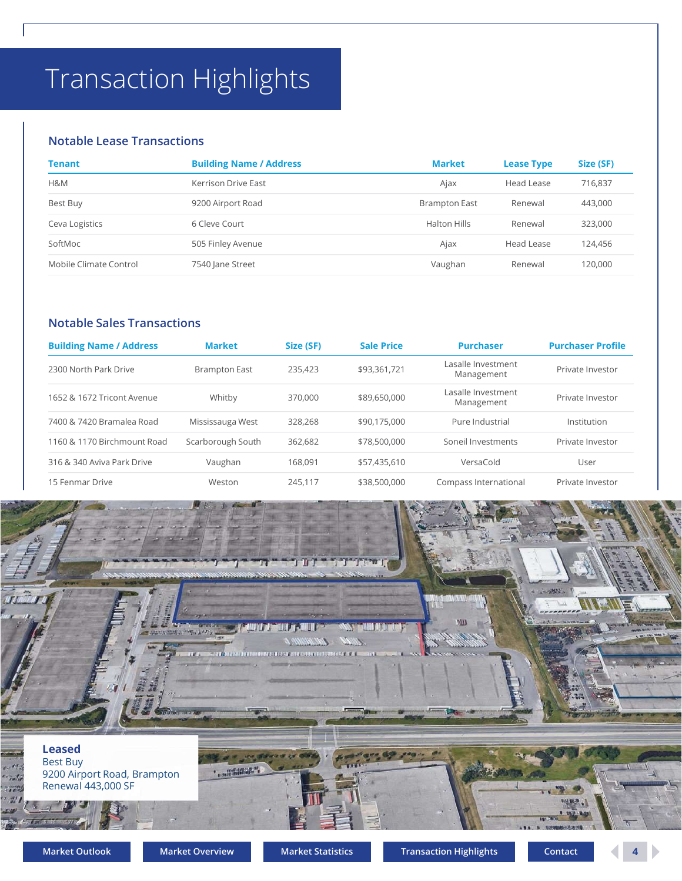# Transaction Highlights

### Notable Lease Transactions

| <b>Transaction Highlights</b>     |                                |           |                   |                                  |                   |                          |
|-----------------------------------|--------------------------------|-----------|-------------------|----------------------------------|-------------------|--------------------------|
|                                   |                                |           |                   |                                  |                   |                          |
|                                   |                                |           |                   |                                  |                   |                          |
|                                   |                                |           |                   |                                  |                   |                          |
| <b>Notable Lease Transactions</b> |                                |           |                   |                                  |                   |                          |
| <b>Tenant</b>                     | <b>Building Name / Address</b> |           |                   | <b>Market</b>                    | <b>Lease Type</b> | Size (SF)                |
| H&M                               | Kerrison Drive East            |           |                   | Ajax                             | Head Lease        | 716,837                  |
| Best Buy                          | 9200 Airport Road              |           |                   | <b>Brampton East</b>             | Renewal           | 443,000                  |
| Ceva Logistics                    | 6 Cleve Court                  |           |                   | <b>Halton Hills</b>              | Renewal           | 323,000                  |
| SoftMoc                           | 505 Finley Avenue              |           |                   | Ajax                             | Head Lease        | 124,456                  |
| Mobile Climate Control            | 7540 Jane Street               |           |                   | Vaughan                          | Renewal           | 120,000                  |
|                                   |                                |           |                   |                                  |                   |                          |
| <b>Notable Sales Transactions</b> |                                |           |                   |                                  |                   |                          |
| <b>Building Name / Address</b>    | <b>Market</b>                  | Size (SF) | <b>Sale Price</b> | <b>Purchaser</b>                 |                   | <b>Purchaser Profile</b> |
| 2300 North Park Drive             | <b>Brampton East</b>           | 235,423   | \$93,361,721      | Lasalle Investment<br>Management |                   | Private Investor         |
| 1652 & 1672 Tricont Avenue        | Whitby<br>370,000              |           |                   | Lasalle Investment<br>Management |                   | Private Investor         |
| 7400 & 7420 Bramalea Road         | Mississauga West               | 328,268   | \$90,175,000      | Pure Industrial                  |                   | Institution              |
| 1160 & 1170 Birchmount Road       | Scarborough South              | 362,682   | \$78,500,000      | Soneil Investments               |                   | Private Investor         |

### Notable Sales Transactions

|                                                           | <b>Building Name / Address</b>        |                      |                                   | <b>Market</b>                          | <b>Lease Type</b> | Size (SF)                                    |
|-----------------------------------------------------------|---------------------------------------|----------------------|-----------------------------------|----------------------------------------|-------------------|----------------------------------------------|
| H&M                                                       | Kerrison Drive East                   |                      |                                   | Ajax                                   | Head Lease        | 716,837                                      |
| Best Buy                                                  | 9200 Airport Road                     |                      |                                   | <b>Brampton East</b>                   | Renewal           | 443,000                                      |
| Ceva Logistics                                            | 6 Cleve Court                         |                      |                                   | <b>Halton Hills</b>                    | Renewal           | 323,000                                      |
| SoftMoc                                                   | 505 Finley Avenue                     |                      |                                   | Ajax                                   | Head Lease        | 124,456                                      |
| Mobile Climate Control                                    | 7540 Jane Street                      |                      |                                   | Vaughan                                | Renewal           | 120,000                                      |
| <b>Building Name / Address</b><br>2300 North Park Drive   | <b>Market</b><br><b>Brampton East</b> | Size (SF)<br>235,423 | <b>Sale Price</b><br>\$93,361,721 | <b>Purchaser</b><br>Lasalle Investment |                   | <b>Purchaser Profile</b><br>Private Investor |
|                                                           | Whitby                                | 370,000              | \$89,650,000                      | Management<br>Lasalle Investment       |                   | Private Investor                             |
|                                                           |                                       |                      |                                   | Management                             |                   |                                              |
| 1652 & 1672 Tricont Avenue                                |                                       |                      |                                   |                                        |                   |                                              |
| 7400 & 7420 Bramalea Road                                 | Mississauga West                      | 328,268              | \$90,175,000                      | Pure Industrial                        |                   | Institution                                  |
| 1160 & 1170 Birchmount Road<br>316 & 340 Aviva Park Drive | Scarborough South<br>Vaughan          | 362,682<br>168,091   | \$78,500,000<br>\$57,435,610      | Soneil Investments<br>VersaCold        |                   | Private Investor<br>User                     |